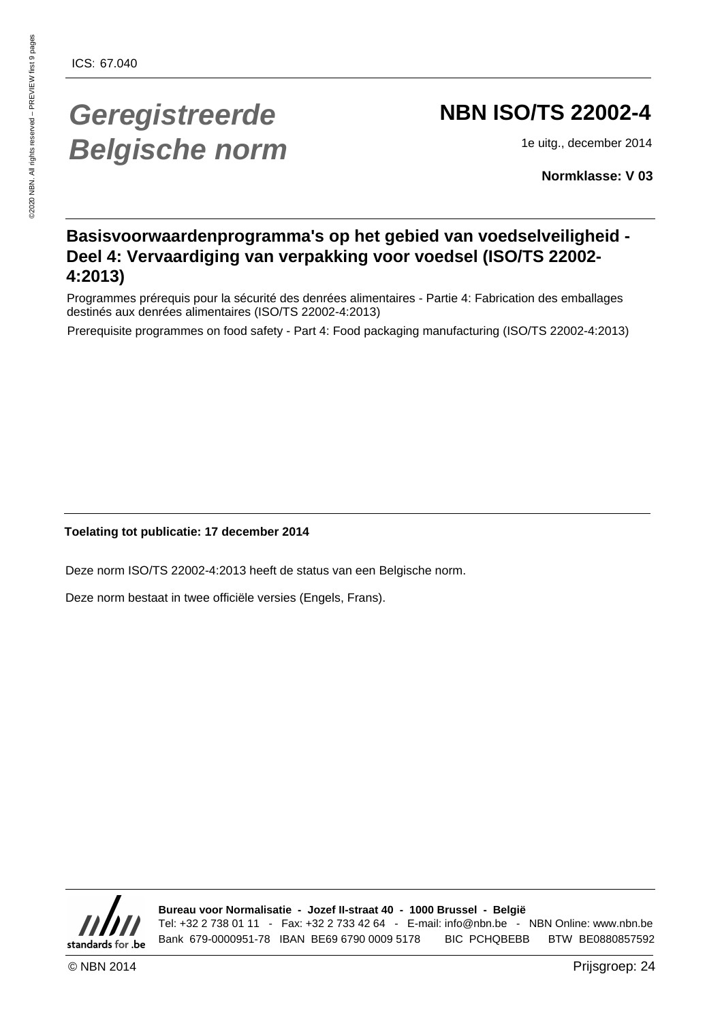# **Geregistreerde Belgische norm**

# **NBN ISO/TS 22002-4**

1e uitg., december 2014

**Normklasse: V 03**

#### **Basisvoorwaardenprogramma's op het gebied van voedselveiligheid - Deel 4: Vervaardiging van verpakking voor voedsel (ISO/TS 22002- 4:2013)**

Programmes prérequis pour la sécurité des denrées alimentaires - Partie 4: Fabrication des emballages destinés aux denrées alimentaires (ISO/TS 22002-4:2013)

Prerequisite programmes on food safety - Part 4: Food packaging manufacturing (ISO/TS 22002-4:2013)

#### **Toelating tot publicatie: 17 december 2014**

Deze norm ISO/TS 22002-4:2013 heeft de status van een Belgische norm.

Deze norm bestaat in twee officiële versies (Engels, Frans).



**Bureau voor Normalisatie - Jozef II-straat 40 - 1000 Brussel - België** Tel: +32 2 738 01 11 - Fax: +32 2 733 42 64 - E-mail: info@nbn.be - NBN Online: www.nbn.be Bank 679-0000951-78 IBAN BE69 6790 0009 5178 BIC PCHQBEBB BTW BE0880857592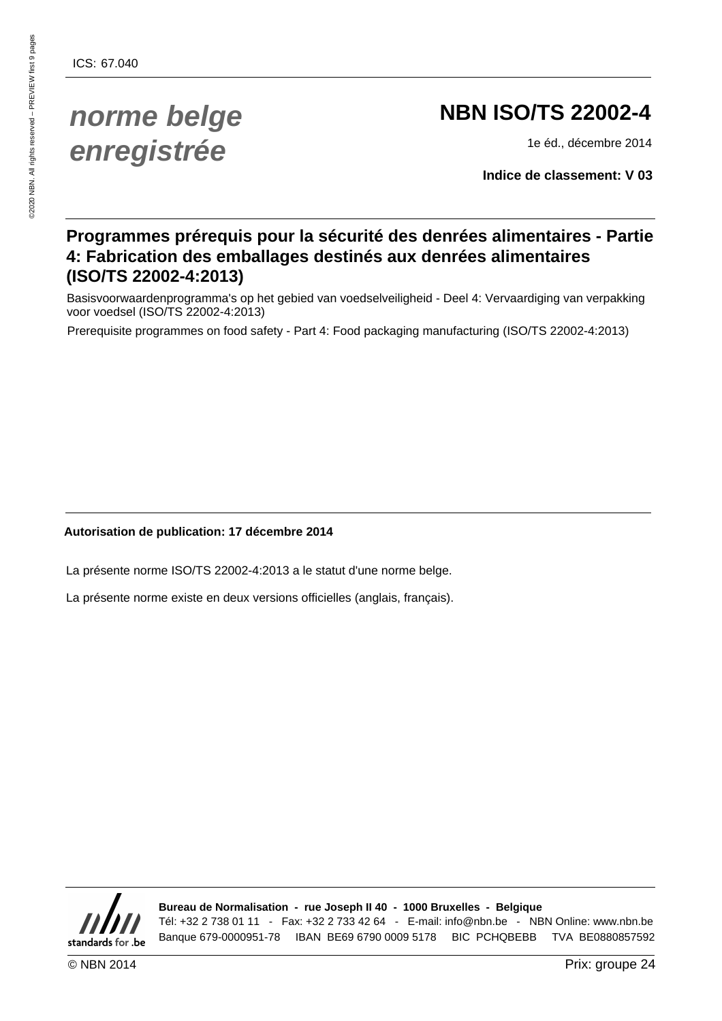# **norme belge enregistrée**

# **NBN ISO/TS 22002-4**

1e éd., décembre 2014

**Indice de classement: V 03**

#### **Programmes prérequis pour la sécurité des denrées alimentaires - Partie 4: Fabrication des emballages destinés aux denrées alimentaires (ISO/TS 22002-4:2013)**

Basisvoorwaardenprogramma's op het gebied van voedselveiligheid - Deel 4: Vervaardiging van verpakking voor voedsel (ISO/TS 22002-4:2013)

Prerequisite programmes on food safety - Part 4: Food packaging manufacturing (ISO/TS 22002-4:2013)

#### **Autorisation de publication: 17 décembre 2014**

La présente norme ISO/TS 22002-4:2013 a le statut d'une norme belge.

La présente norme existe en deux versions officielles (anglais, français).



**Bureau de Normalisation - rue Joseph II 40 - 1000 Bruxelles - Belgique** Tél: +32 2 738 01 11 - Fax: +32 2 733 42 64 - E-mail: info@nbn.be - NBN Online: www.nbn.be Banque 679-0000951-78 IBAN BE69 6790 0009 5178 BIC PCHQBEBB TVA BE0880857592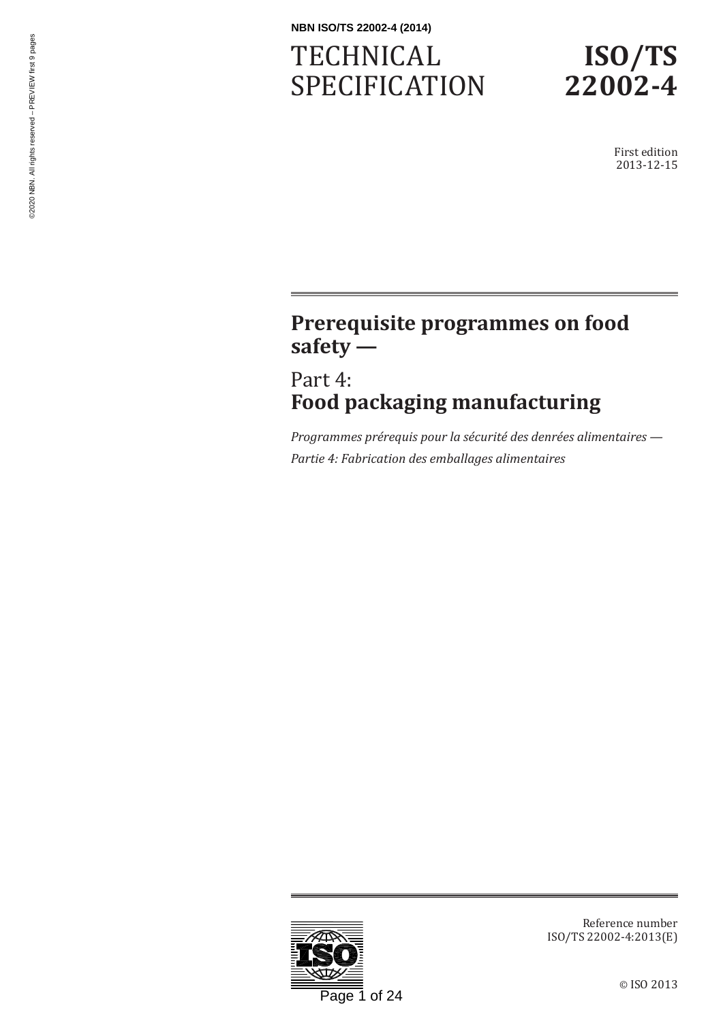# **TECHNICAL** SPECIFICATION



First edition 2013-12-15

# **Prerequisite programmes on food safety —**

Part 4: **Food packaging manufacturing**

*Programmes prérequis pour la sécurité des denrées alimentaires — Partie 4: Fabrication des emballages alimentaires*



Reference number ISO/TS 22002-4:2013(E)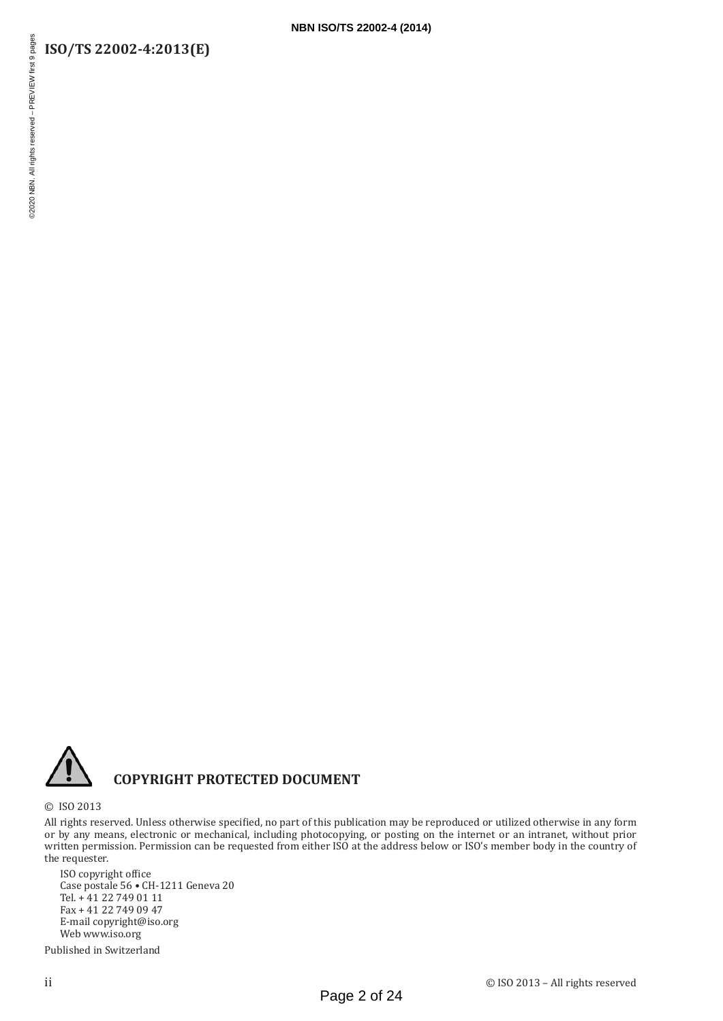#### **ISO/TS 22002-4:2013(E)**



#### **COPYRIGHT PROTECTED DOCUMENT**

© ISO 2013

All rights reserved. Unless otherwise specified, no part of this publication may be reproduced or utilized otherwise in any form or by any means, electronic or mechanical, including photocopying, or posting on the internet or an intranet, without prior written permission. Permission can be requested from either ISO at the address below or ISO's member body in the country of the requester.

ISO copyright office Case postale 56 • CH-1211 Geneva 20 Tel. + 41 22 749 01 11 Fax + 41 22 749 09 47 E-mail copyright@iso.org Web www.iso.org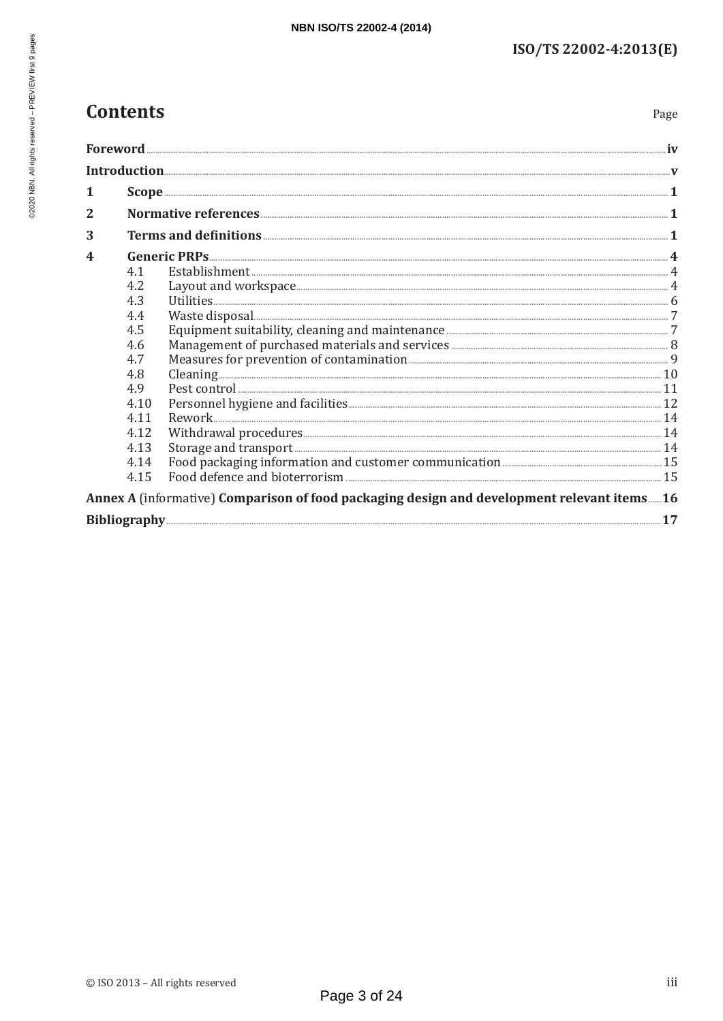## **Contents**

Page

| 1              |      |                                                                                            |  |
|----------------|------|--------------------------------------------------------------------------------------------|--|
| $\overline{2}$ |      |                                                                                            |  |
| 3              |      |                                                                                            |  |
| 4              |      |                                                                                            |  |
|                | 4.1  |                                                                                            |  |
|                | 4.2  |                                                                                            |  |
|                | 4.3  |                                                                                            |  |
|                | 4.4  |                                                                                            |  |
|                | 4.5  |                                                                                            |  |
|                | 4.6  |                                                                                            |  |
|                | 4.7  |                                                                                            |  |
|                | 4.8  |                                                                                            |  |
|                | 4.9  |                                                                                            |  |
|                | 4.10 |                                                                                            |  |
|                | 4.11 |                                                                                            |  |
|                | 4.12 |                                                                                            |  |
|                | 4.13 |                                                                                            |  |
|                | 4.14 |                                                                                            |  |
|                | 4.15 |                                                                                            |  |
|                |      | Annex A (informative) Comparison of food packaging design and development relevant items16 |  |
|                |      |                                                                                            |  |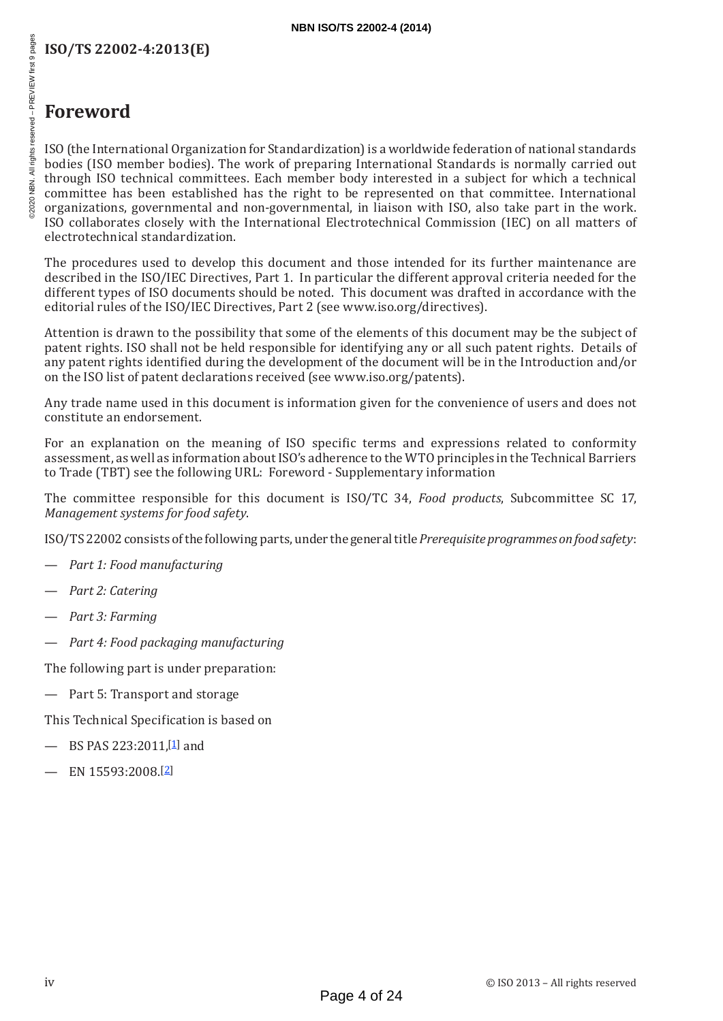#### **ISO/TS 22002-4:2013(E)**

## **Foreword**

ISO (the International Organization for Standardization) is a worldwide federation of national standards bodies (ISO member bodies). The work of preparing International Standards is normally carried out through ISO technical committees. Each member body interested in a subject for which a technical committee has been established has the right to be represented on that committee. International organizations, governmental and non-governmental, in liaison with ISO, also take part in the work. ISO collaborates closely with the International Electrotechnical Commission (IEC) on all matters of electrotechnical standardization.

The procedures used to develop this document and those intended for its further maintenance are described in the ISO/IEC Directives, Part 1. In particular the different approval criteria needed for the different types of ISO documents should be noted. This document was drafted in accordance with the editorial rules of the ISO/IEC Directives, Part 2 (see [www.iso.org/directives\)](http://www.iso.org/directives).

Attention is drawn to the possibility that some of the elements of this document may be the subject of patent rights. ISO shall not be held responsible for identifying any or all such patent rights. Details of any patent rights identified during the development of the document will be in the Introduction and/or on the ISO list of patent declarations received (see [www.iso.org/patents](http://www.iso.org/patents)).

Any trade name used in this document is information given for the convenience of users and does not constitute an endorsement.

For an explanation on the meaning of ISO specific terms and expressions related to conformity assessment, as well as information about ISO's adherence to the WTO principles in the Technical Barriers to Trade (TBT) see the following URL: Foreword - Supplementary information

The committee responsible for this document is ISO/TC 34, *Food products*, Subcommittee SC 17, *Management systems for food safety*.

ISO/TS22002 consists of the following parts, under the general title *Prerequisite programmes on food safety*:

- *Part 1: Food manufacturing*
- *Part 2: Catering*
- *Part 3: Farming*
- *Part 4: Food packaging manufacturing*

The following part is under preparation:

— Part 5: Transport and storage

This Technical Specification is based on

- BS PAS 223:2011, [1] and
- $-$  EN 15593:2008.[2]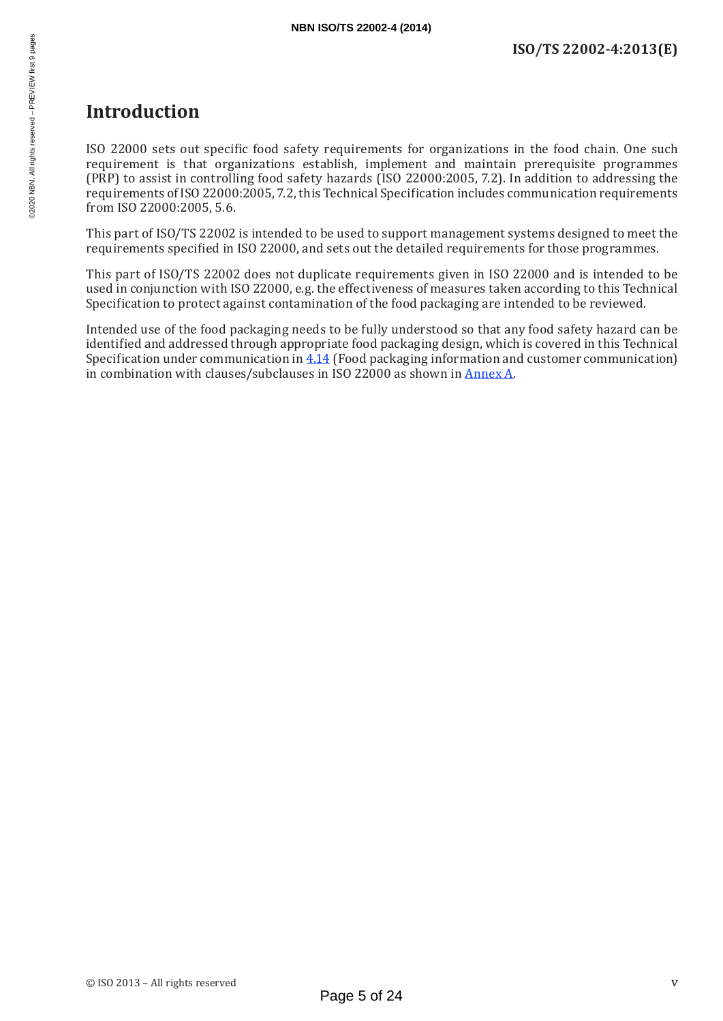### **Introduction**

ISO 22000 sets out specific food safety requirements for organizations in the food chain. One such requirement is that organizations establish, implement and maintain prerequisite programmes (PRP) to assist in controlling food safety hazards (ISO 22000:2005, 7.2). In addition to addressing the requirements of ISO 22000:2005, 7.2, this Technical Specification includes communication requirements from ISO 22000:2005, 5.6.

This part of ISO/TS 22002 is intended to be used to support management systems designed to meet the requirements specified in ISO 22000, and sets out the detailed requirements for those programmes.

This part of ISO/TS 22002 does not duplicate requirements given in ISO 22000 and is intended to be used in conjunction with ISO 22000, e.g. the effectiveness of measures taken according to this Technical Specification to protect against contamination of the food packaging are intended to be reviewed.

Intended use of the food packaging needs to be fully understood so that any food safety hazard can be identified and addressed through appropriate food packaging design, which is covered in this Technical Specification under communication in 4.14 (Food packaging information and customer communication) in combination with clauses/subclauses in ISO 22000 as shown in Annex A.